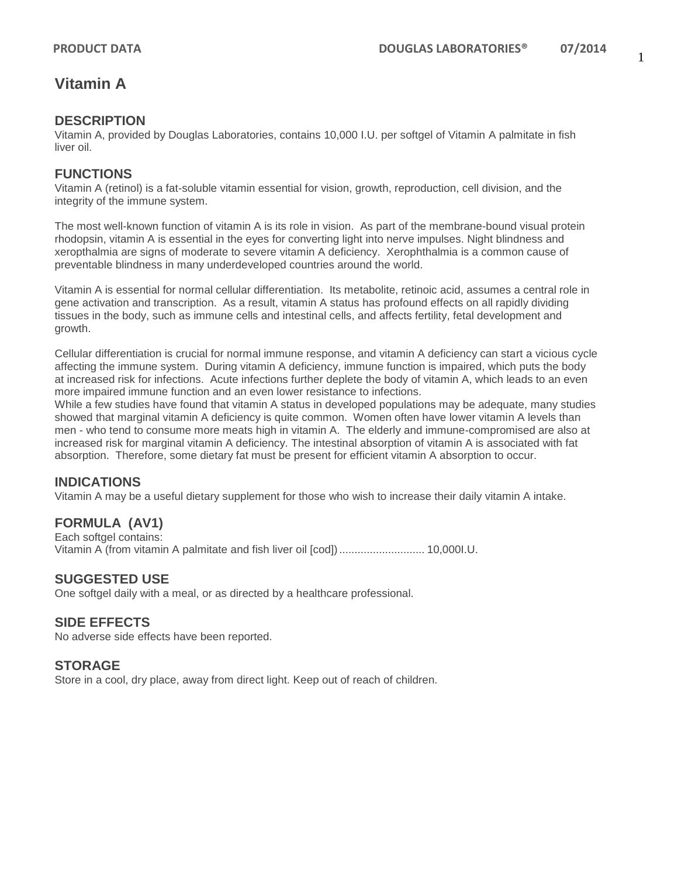## **Vitamin A**

### **DESCRIPTION**

Vitamin A, provided by Douglas Laboratories, contains 10,000 I.U. per softgel of Vitamin A palmitate in fish liver oil.

### **FUNCTIONS**

Vitamin A (retinol) is a fat-soluble vitamin essential for vision, growth, reproduction, cell division, and the integrity of the immune system.

The most well-known function of vitamin A is its role in vision. As part of the membrane-bound visual protein rhodopsin, vitamin A is essential in the eyes for converting light into nerve impulses. Night blindness and xeropthalmia are signs of moderate to severe vitamin A deficiency. Xerophthalmia is a common cause of preventable blindness in many underdeveloped countries around the world.

Vitamin A is essential for normal cellular differentiation. Its metabolite, retinoic acid, assumes a central role in gene activation and transcription. As a result, vitamin A status has profound effects on all rapidly dividing tissues in the body, such as immune cells and intestinal cells, and affects fertility, fetal development and growth.

Cellular differentiation is crucial for normal immune response, and vitamin A deficiency can start a vicious cycle affecting the immune system. During vitamin A deficiency, immune function is impaired, which puts the body at increased risk for infections. Acute infections further deplete the body of vitamin A, which leads to an even more impaired immune function and an even lower resistance to infections.

While a few studies have found that vitamin A status in developed populations may be adequate, many studies showed that marginal vitamin A deficiency is quite common. Women often have lower vitamin A levels than men - who tend to consume more meats high in vitamin A. The elderly and immune-compromised are also at increased risk for marginal vitamin A deficiency. The intestinal absorption of vitamin A is associated with fat absorption. Therefore, some dietary fat must be present for efficient vitamin A absorption to occur.

## **INDICATIONS**

Vitamin A may be a useful dietary supplement for those who wish to increase their daily vitamin A intake.

## **FORMULA (AV1)**

Each softgel contains: Vitamin A (from vitamin A palmitate and fish liver oil [cod])............................ 10,000I.U.

#### **SUGGESTED USE**

One softgel daily with a meal, or as directed by a healthcare professional.

#### **SIDE EFFECTS**

No adverse side effects have been reported.

#### **STORAGE**

Store in a cool, dry place, away from direct light. Keep out of reach of children.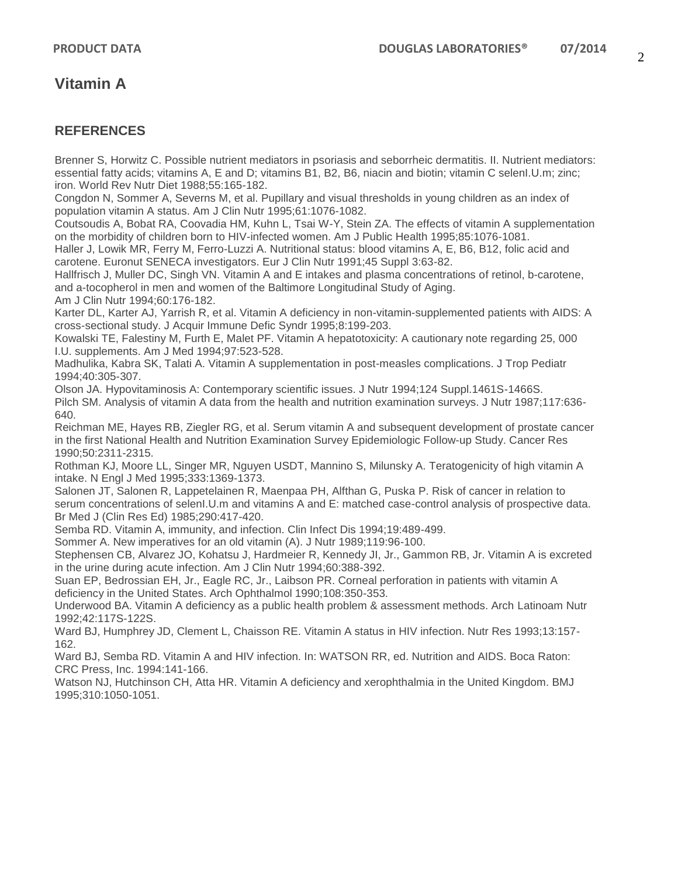## **Vitamin A**

## **REFERENCES**

Brenner S, Horwitz C. Possible nutrient mediators in psoriasis and seborrheic dermatitis. II. Nutrient mediators: essential fatty acids; vitamins A, E and D; vitamins B1, B2, B6, niacin and biotin; vitamin C selenI.U.m; zinc; iron. World Rev Nutr Diet 1988;55:165-182.

Congdon N, Sommer A, Severns M, et al. Pupillary and visual thresholds in young children as an index of population vitamin A status. Am J Clin Nutr 1995;61:1076-1082.

Coutsoudis A, Bobat RA, Coovadia HM, Kuhn L, Tsai W-Y, Stein ZA. The effects of vitamin A supplementation on the morbidity of children born to HIV-infected women. Am J Public Health 1995;85:1076-1081.

Haller J, Lowik MR, Ferry M, Ferro-Luzzi A. Nutritional status: blood vitamins A, E, B6, B12, folic acid and carotene. Euronut SENECA investigators. Eur J Clin Nutr 1991;45 Suppl 3:63-82.

Hallfrisch J, Muller DC, Singh VN. Vitamin A and E intakes and plasma concentrations of retinol, b-carotene, and a-tocopherol in men and women of the Baltimore Longitudinal Study of Aging.

Am J Clin Nutr 1994;60:176-182.

Karter DL, Karter AJ, Yarrish R, et al. Vitamin A deficiency in non-vitamin-supplemented patients with AIDS: A cross-sectional study. J Acquir Immune Defic Syndr 1995;8:199-203.

Kowalski TE, Falestiny M, Furth E, Malet PF. Vitamin A hepatotoxicity: A cautionary note regarding 25, 000 I.U. supplements. Am J Med 1994;97:523-528.

Madhulika, Kabra SK, Talati A. Vitamin A supplementation in post-measles complications. J Trop Pediatr 1994;40:305-307.

Olson JA. Hypovitaminosis A: Contemporary scientific issues. J Nutr 1994;124 Suppl.1461S-1466S. Pilch SM. Analysis of vitamin A data from the health and nutrition examination surveys. J Nutr 1987;117:636- 640.

Reichman ME, Hayes RB, Ziegler RG, et al. Serum vitamin A and subsequent development of prostate cancer in the first National Health and Nutrition Examination Survey Epidemiologic Follow-up Study. Cancer Res 1990;50:2311-2315.

Rothman KJ, Moore LL, Singer MR, Nguyen USDT, Mannino S, Milunsky A. Teratogenicity of high vitamin A intake. N Engl J Med 1995;333:1369-1373.

Salonen JT, Salonen R, Lappetelainen R, Maenpaa PH, Alfthan G, Puska P. Risk of cancer in relation to serum concentrations of selenI.U.m and vitamins A and E: matched case-control analysis of prospective data. Br Med J (Clin Res Ed) 1985;290:417-420.

Semba RD. Vitamin A, immunity, and infection. Clin Infect Dis 1994;19:489-499.

Sommer A. New imperatives for an old vitamin (A). J Nutr 1989;119:96-100.

Stephensen CB, Alvarez JO, Kohatsu J, Hardmeier R, Kennedy JI, Jr., Gammon RB, Jr. Vitamin A is excreted in the urine during acute infection. Am J Clin Nutr 1994;60:388-392.

Suan EP, Bedrossian EH, Jr., Eagle RC, Jr., Laibson PR. Corneal perforation in patients with vitamin A deficiency in the United States. Arch Ophthalmol 1990;108:350-353.

Underwood BA. Vitamin A deficiency as a public health problem & assessment methods. Arch Latinoam Nutr 1992;42:117S-122S.

Ward BJ, Humphrey JD, Clement L, Chaisson RE. Vitamin A status in HIV infection. Nutr Res 1993;13:157- 162.

Ward BJ, Semba RD. Vitamin A and HIV infection. In: WATSON RR, ed. Nutrition and AIDS. Boca Raton: CRC Press, Inc. 1994:141-166.

Watson NJ, Hutchinson CH, Atta HR. Vitamin A deficiency and xerophthalmia in the United Kingdom. BMJ 1995;310:1050-1051.